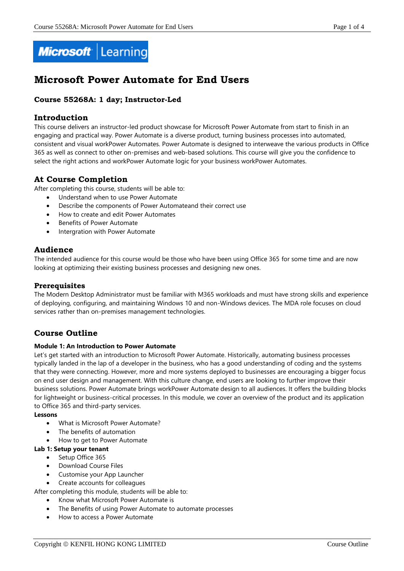

# **Microsoft Power Automate for End Users**

# **Course 55268A: 1 day; Instructor-Led**

## **Introduction**

This course delivers an instructor-led product showcase for Microsoft Power Automate from start to finish in an engaging and practical way. Power Automate is a diverse product, turning business processes into automated, consistent and visual workPower Automates. Power Automate is designed to interweave the various products in Office 365 as well as connect to other on-premises and web-based solutions. This course will give you the confidence to select the right actions and workPower Automate logic for your business workPower Automates.

# **At Course Completion**

After completing this course, students will be able to:

- Understand when to use Power Automate
- Describe the components of Power Automateand their correct use
- How to create and edit Power Automates
- Benefits of Power Automate
- Intergration with Power Automate

# **Audience**

The intended audience for this course would be those who have been using Office 365 for some time and are now looking at optimizing their existing business processes and designing new ones.

## **Prerequisites**

The Modern Desktop Administrator must be familiar with M365 workloads and must have strong skills and experience of deploying, configuring, and maintaining Windows 10 and non-Windows devices. The MDA role focuses on cloud services rather than on-premises management technologies.

# **Course Outline**

## **Module 1: An Introduction to Power Automate**

Let's get started with an introduction to Microsoft Power Automate. Historically, automating business processes typically landed in the lap of a developer in the business, who has a good understanding of coding and the systems that they were connecting. However, more and more systems deployed to businesses are encouraging a bigger focus on end user design and management. With this culture change, end users are looking to further improve their business solutions. Power Automate brings workPower Automate design to all audiences. It offers the building blocks for lightweight or business-critical processes. In this module, we cover an overview of the product and its application to Office 365 and third-party services.

## **Lessons**

- What is Microsoft Power Automate?
- The benefits of automation
- How to get to Power Automate

#### **Lab 1: Setup your tenant**

- Setup Office 365
- Download Course Files
- Customise your App Launcher
- Create accounts for colleagues

After completing this module, students will be able to:

- Know what Microsoft Power Automate is
- The Benefits of using Power Automate to automate processes
- How to access a Power Automate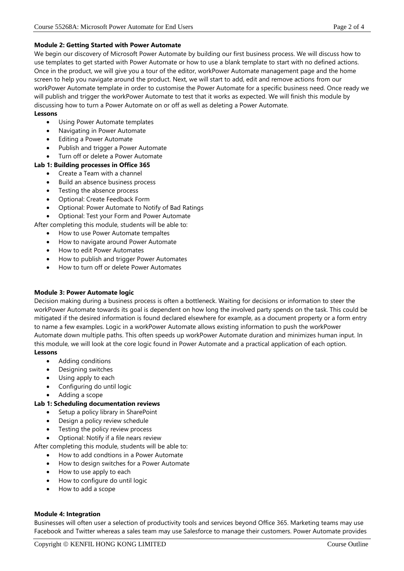#### **Module 2: Getting Started with Power Automate**

We begin our discovery of Microsoft Power Automate by building our first business process. We will discuss how to use templates to get started with Power Automate or how to use a blank template to start with no defined actions. Once in the product, we will give you a tour of the editor, workPower Automate management page and the home screen to help you navigate around the product. Next, we will start to add, edit and remove actions from our workPower Automate template in order to customise the Power Automate for a specific business need. Once ready we will publish and trigger the workPower Automate to test that it works as expected. We will finish this module by discussing how to turn a Power Automate on or off as well as deleting a Power Automate.

#### **Lessons**

- Using Power Automate templates
- Navigating in Power Automate
- Editing a Power Automate
- Publish and trigger a Power Automate
- Turn off or delete a Power Automate
- **Lab 1: Building processes in Office 365**
	- Create a Team with a channel
	- Build an absence business process
	- Testing the absence process
	- Optional: Create Feedback Form
	- Optional: Power Automate to Notify of Bad Ratings
	- Optional: Test your Form and Power Automate
- After completing this module, students will be able to:
	- How to use Power Automate tempaltes
	- How to navigate around Power Automate
	- How to edit Power Automates
	- How to publish and trigger Power Automates
	- How to turn off or delete Power Automates

## **Module 3: Power Automate logic**

Decision making during a business process is often a bottleneck. Waiting for decisions or information to steer the workPower Automate towards its goal is dependent on how long the involved party spends on the task. This could be mitigated if the desired information is found declared elsewhere for example, as a document property or a form entry to name a few examples. Logic in a workPower Automate allows existing information to push the workPower Automate down multiple paths. This often speeds up workPower Automate duration and minimizes human input. In this module, we will look at the core logic found in Power Automate and a practical application of each option. **Lessons**

- Adding conditions
- Designing switches
- Using apply to each
- Configuring do until logic
- Adding a scope

## **Lab 1: Scheduling documentation reviews**

- Setup a policy library in SharePoint
- Design a policy review schedule
- Testing the policy review process
- Optional: Notify if a file nears review

After completing this module, students will be able to:

- How to add condtions in a Power Automate
- How to design switches for a Power Automate
- How to use apply to each
- How to configure do until logic
- How to add a scope

## **Module 4: Integration**

Businesses will often user a selection of productivity tools and services beyond Office 365. Marketing teams may use Facebook and Twitter whereas a sales team may use Salesforce to manage their customers. Power Automate provides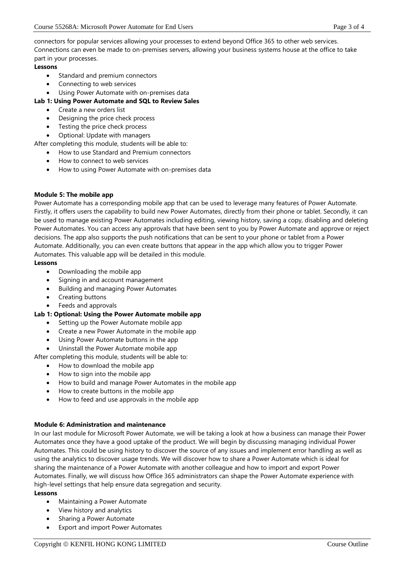connectors for popular services allowing your processes to extend beyond Office 365 to other web services. Connections can even be made to on-premises servers, allowing your business systems house at the office to take part in your processes.

## **Lessons**

- Standard and premium connectors
- Connecting to web services
- Using Power Automate with on-premises data

## **Lab 1: Using Power Automate and SQL to Review Sales**

- Create a new orders list
- Designing the price check process
- Testing the price check process
- Optional: Update with managers

After completing this module, students will be able to:

- How to use Standard and Premium connectors
- How to connect to web services
- How to using Power Automate with on-premises data

## **Module 5: The mobile app**

Power Automate has a corresponding mobile app that can be used to leverage many features of Power Automate. Firstly, it offers users the capability to build new Power Automates, directly from their phone or tablet. Secondly, it can be used to manage existing Power Automates including editing, viewing history, saving a copy, disabling and deleting Power Automates. You can access any approvals that have been sent to you by Power Automate and approve or reject decisions. The app also supports the push notifications that can be sent to your phone or tablet from a Power Automate. Additionally, you can even create buttons that appear in the app which allow you to trigger Power Automates. This valuable app will be detailed in this module.

## **Lessons**

- Downloading the mobile app
- Signing in and account management
- Building and managing Power Automates
- Creating buttons
- Feeds and approvals

## **Lab 1: Optional: Using the Power Automate mobile app**

- Setting up the Power Automate mobile app
- Create a new Power Automate in the mobile app
- Using Power Automate buttons in the app
- Uninstall the Power Automate mobile app

After completing this module, students will be able to:

- How to download the mobile app
- How to sign into the mobile app
- How to build and manage Power Automates in the mobile app
- How to create buttons in the mobile app
- How to feed and use approvals in the mobile app

## **Module 6: Administration and maintenance**

In our last module for Microsoft Power Automate, we will be taking a look at how a business can manage their Power Automates once they have a good uptake of the product. We will begin by discussing managing individual Power Automates. This could be using history to discover the source of any issues and implement error handling as well as using the analytics to discover usage trends. We will discover how to share a Power Automate which is ideal for sharing the maintenance of a Power Automate with another colleague and how to import and export Power Automates. Finally, we will discuss how Office 365 administrators can shape the Power Automate experience with high-level settings that help ensure data segregation and security.

#### **Lessons**

- Maintaining a Power Automate
- View history and analytics
- Sharing a Power Automate
- Export and import Power Automates